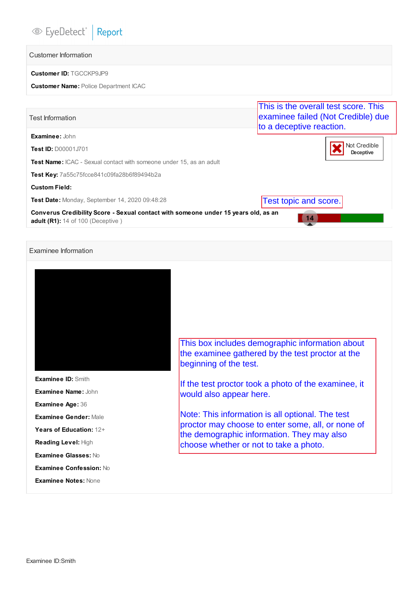# Customer Information

## **Customer ID:** TGCCKP9JP9

### **Customer Name:** Police Department ICAC

|                                                                                                                                | This is the overall test score. This                           |  |  |  |  |  |  |
|--------------------------------------------------------------------------------------------------------------------------------|----------------------------------------------------------------|--|--|--|--|--|--|
| <b>Test Information</b>                                                                                                        | examinee failed (Not Credible) due<br>to a deceptive reaction. |  |  |  |  |  |  |
| Examinee: John                                                                                                                 |                                                                |  |  |  |  |  |  |
| <b>Test ID: D00001J701</b>                                                                                                     | Not Credible<br>Deceptive                                      |  |  |  |  |  |  |
| <b>Test Name:</b> ICAC - Sexual contact with someone under 15, as an adult                                                     |                                                                |  |  |  |  |  |  |
| <b>Test Key:</b> 7a55c75fcce841c09fa28b6f89494b2a                                                                              |                                                                |  |  |  |  |  |  |
| <b>Custom Field:</b>                                                                                                           |                                                                |  |  |  |  |  |  |
| <b>Test Date: Monday, September 14, 2020 09:48:28</b>                                                                          | Test topic and score.                                          |  |  |  |  |  |  |
| Converus Credibility Score - Sexual contact with someone under 15 years old, as an<br><b>adult (R1):</b> 14 of 100 (Deceptive) | 14                                                             |  |  |  |  |  |  |

# Examinee Information



**Examinee ID:** Smith **Examinee Name:** John **Examinee Age:** 36 **Examinee Gender:** Male **Years of Education:** 12+ **Reading Level:** High **Examinee Glasses:** No **Examinee Confession:** No

**Examinee Notes:** None

This box includes demographic information about the examinee gathered by the test proctor at the beginning of the test.

If the test proctor took a photo of the examinee, it would also appear here.

Note: This information is all optional. The test proctor may choose to enter some, all, or none of the demographic information. They may also choose whether or not to take a photo.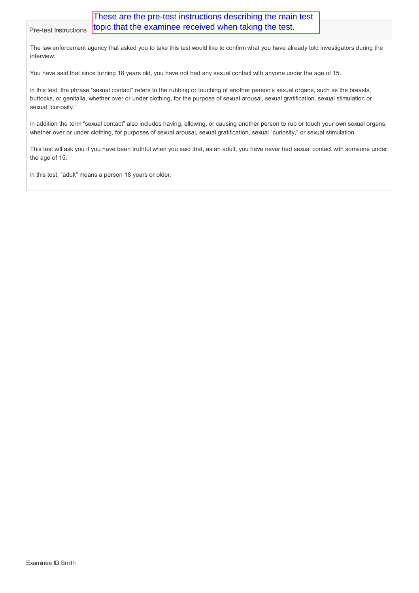The law enforcement agency that asked you to take this test would like to confirm what you have already told investigators during the interview.

You have said that since turning 18 years old, you have not had any sexual contact with anyone under the age of 15.

In this test, the phrase "sexual contact" refers to the rubbing or touching of another person's sexual organs, such as the breasts, buttocks, or genitalia, whether over or under clothing, for the purpose of sexual arousal, sexual gratification, sexual stimulation or sexual "curiosity."

In addition the term "sexual contact" also includes having, allowing, or causing another person to rub or touch your own sexual organs, whether over or under clothing, for purposes of sexual arousal, sexual gratification, sexual "curiosity," or sexual stimulation.

This test will ask you if you have been truthful when you said that, as an adult, you have never had sexual contact with someone under the age of 15.

In this test, "adult" means a person 18 years or older.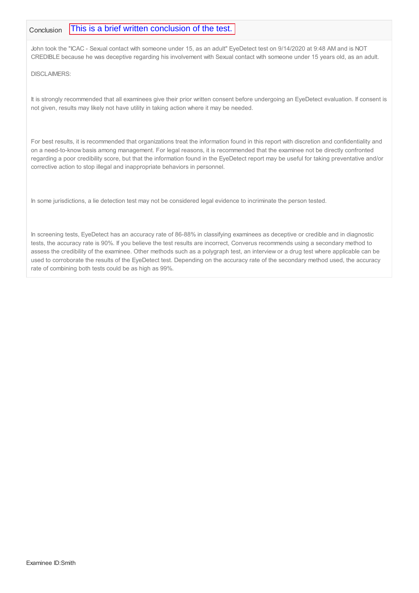#### Conclusion This is a brief written conclusion of the test.

John took the "ICAC - Sexual contact with someone under 15, as an adult" EyeDetect test on 9/14/2020 at 9:48 AM and is NOT CREDIBLE because he was deceptive regarding his involvement with Sexual contact with someone under 15 years old, as an adult.

DISCLAIMERS:

It is strongly recommended that all examinees give their prior written consent before undergoing an EyeDetect evaluation. If consent is not given, results may likely not have utility in taking action where it may be needed.

For best results, it is recommended that organizations treat the information found in this report with discretion and confidentiality and on a need-to-know basis among management. For legal reasons, it is recommended that the examinee not be directly confronted regarding a poor credibility score, but that the information found in the EyeDetect report may be useful for taking preventative and/or corrective action to stop illegal and inappropriate behaviors in personnel.

In some jurisdictions, a lie detection test may not be considered legal evidence to incriminate the person tested.

In screening tests, EyeDetect has an accuracy rate of 86-88% in classifying examinees as deceptive or credible and in diagnostic tests, the accuracy rate is 90%. If you believe the test results are incorrect, Converus recommends using a secondary method to assess the credibility of the examinee. Other methods such as a polygraph test, an interview or a drug test where applicable can be used to corroborate the results of the EyeDetect test. Depending on the accuracy rate of the secondary method used, the accuracy rate of combining both tests could be as high as 99%.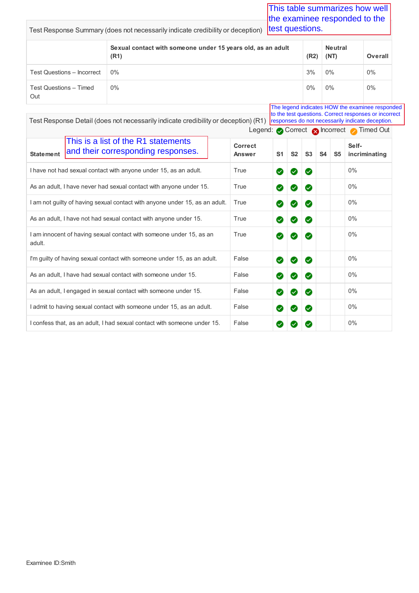|                                                                                               | Test Response Summary (does not necessarily indicate credibility or deception)     |                | test questions. |    |                |                |                        | This table summarizes how well<br>the examinee responded to the                                                                                                                                       |
|-----------------------------------------------------------------------------------------------|------------------------------------------------------------------------------------|----------------|-----------------|----|----------------|----------------|------------------------|-------------------------------------------------------------------------------------------------------------------------------------------------------------------------------------------------------|
|                                                                                               | Sexual contact with someone under 15 years old, as an adult<br>(R1)                |                |                 |    | (R2)           |                | <b>Neutral</b><br>(NT) | Overall                                                                                                                                                                                               |
| <b>Test Questions - Incorrect</b>                                                             | 0%                                                                                 |                |                 |    | 3%             |                | 0%                     | 0%                                                                                                                                                                                                    |
| <b>Test Questions - Timed</b><br>Out                                                          | 0%                                                                                 |                |                 |    | 0%             |                | 0%                     | 0%                                                                                                                                                                                                    |
|                                                                                               | Test Response Detail (does not necessarily indicate credibility or deception) (R1) |                |                 |    |                |                |                        | The legend indicates HOW the examinee responded<br>to the test questions. Correct responses or incorrect<br>responses do not necessarily indicate deception.<br>Legend: Correct & Incorrect Timed Out |
| This is a list of the R1 statements<br>and their corresponding responses.<br><b>Statement</b> | <b>Correct</b><br>Answer                                                           | S <sub>1</sub> | S <sub>2</sub>  | S3 | S <sub>4</sub> | S <sub>5</sub> | Self-<br>incriminating |                                                                                                                                                                                                       |
| I have not had sexual contact with anyone under 15, as an adult.                              |                                                                                    | True           | Ø               | ☑  | Ø              |                |                        | $0\%$                                                                                                                                                                                                 |
| As an adult, I have never had sexual contact with anyone under 15.                            |                                                                                    |                | Ø               | Ø  | Ø              |                |                        | $0\%$                                                                                                                                                                                                 |
| I am not guilty of having sexual contact with anyone under 15, as an adult.                   |                                                                                    | True           | Ø               | Ø  | Ø              |                |                        | $0\%$                                                                                                                                                                                                 |
| As an adult, I have not had sexual contact with anyone under 15.                              |                                                                                    |                | ⊗               |    | V              |                |                        | 0%                                                                                                                                                                                                    |

I'm guilty of having sexual contact with someone under 15, as an adult.  $\Box$  False  $\Box$   $\Box$   $\Box$   $\Box$  0%

As an adult, I have had sexual contact with someone under 15. False 0%

As an adult, I engaged in sexual contact with someone under 15. False 0%

I admit to having sexual contact with someone under 15, as an adult. False 0%

I confess that, as an adult, I had sexual contact with someone under 15. False 0%

True **0 0 0** 1 0%

I am innocent of having sexual contact with someone under 15, as an

adult.